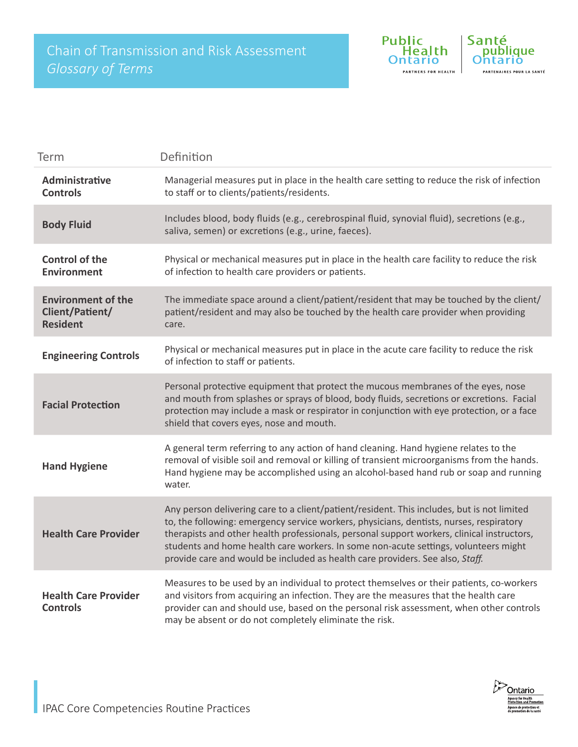

| Term                                                            | Definition                                                                                                                                                                                                                                                                                                                                                                                                                                                  |
|-----------------------------------------------------------------|-------------------------------------------------------------------------------------------------------------------------------------------------------------------------------------------------------------------------------------------------------------------------------------------------------------------------------------------------------------------------------------------------------------------------------------------------------------|
| Administrative<br><b>Controls</b>                               | Managerial measures put in place in the health care setting to reduce the risk of infection<br>to staff or to clients/patients/residents.                                                                                                                                                                                                                                                                                                                   |
| <b>Body Fluid</b>                                               | Includes blood, body fluids (e.g., cerebrospinal fluid, synovial fluid), secretions (e.g.,<br>saliva, semen) or excretions (e.g., urine, faeces).                                                                                                                                                                                                                                                                                                           |
| <b>Control of the</b><br><b>Environment</b>                     | Physical or mechanical measures put in place in the health care facility to reduce the risk<br>of infection to health care providers or patients.                                                                                                                                                                                                                                                                                                           |
| <b>Environment of the</b><br>Client/Patient/<br><b>Resident</b> | The immediate space around a client/patient/resident that may be touched by the client/<br>patient/resident and may also be touched by the health care provider when providing<br>care.                                                                                                                                                                                                                                                                     |
| <b>Engineering Controls</b>                                     | Physical or mechanical measures put in place in the acute care facility to reduce the risk<br>of infection to staff or patients.                                                                                                                                                                                                                                                                                                                            |
| <b>Facial Protection</b>                                        | Personal protective equipment that protect the mucous membranes of the eyes, nose<br>and mouth from splashes or sprays of blood, body fluids, secretions or excretions. Facial<br>protection may include a mask or respirator in conjunction with eye protection, or a face<br>shield that covers eyes, nose and mouth.                                                                                                                                     |
| <b>Hand Hygiene</b>                                             | A general term referring to any action of hand cleaning. Hand hygiene relates to the<br>removal of visible soil and removal or killing of transient microorganisms from the hands.<br>Hand hygiene may be accomplished using an alcohol-based hand rub or soap and running<br>water.                                                                                                                                                                        |
| <b>Health Care Provider</b>                                     | Any person delivering care to a client/patient/resident. This includes, but is not limited<br>to, the following: emergency service workers, physicians, dentists, nurses, respiratory<br>therapists and other health professionals, personal support workers, clinical instructors,<br>students and home health care workers. In some non-acute settings, volunteers might<br>provide care and would be included as health care providers. See also, Staff. |
| <b>Health Care Provider</b><br><b>Controls</b>                  | Measures to be used by an individual to protect themselves or their patients, co-workers<br>and visitors from acquiring an infection. They are the measures that the health care<br>provider can and should use, based on the personal risk assessment, when other controls<br>may be absent or do not completely eliminate the risk.                                                                                                                       |

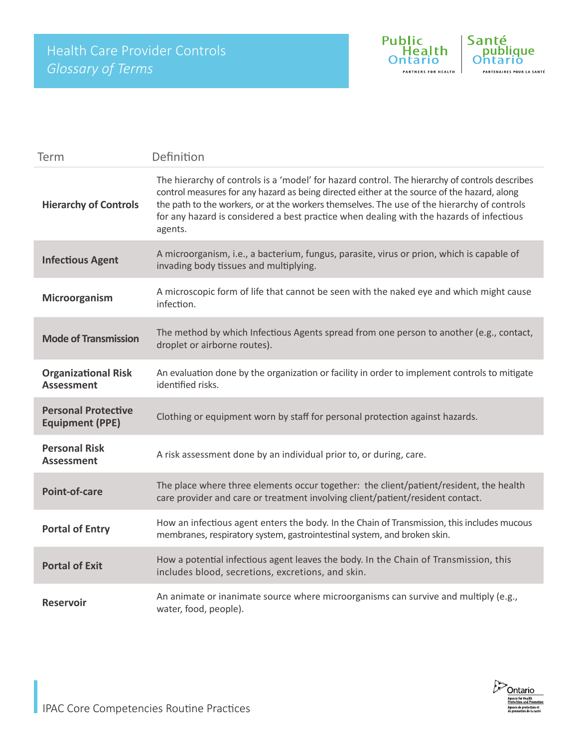

| Term                                                 | Definition                                                                                                                                                                                                                                                                                                                                                                                          |
|------------------------------------------------------|-----------------------------------------------------------------------------------------------------------------------------------------------------------------------------------------------------------------------------------------------------------------------------------------------------------------------------------------------------------------------------------------------------|
| <b>Hierarchy of Controls</b>                         | The hierarchy of controls is a 'model' for hazard control. The hierarchy of controls describes<br>control measures for any hazard as being directed either at the source of the hazard, along<br>the path to the workers, or at the workers themselves. The use of the hierarchy of controls<br>for any hazard is considered a best practice when dealing with the hazards of infectious<br>agents. |
| <b>Infectious Agent</b>                              | A microorganism, i.e., a bacterium, fungus, parasite, virus or prion, which is capable of<br>invading body tissues and multiplying.                                                                                                                                                                                                                                                                 |
| Microorganism                                        | A microscopic form of life that cannot be seen with the naked eye and which might cause<br>infection.                                                                                                                                                                                                                                                                                               |
| <b>Mode of Transmission</b>                          | The method by which Infectious Agents spread from one person to another (e.g., contact,<br>droplet or airborne routes).                                                                                                                                                                                                                                                                             |
| <b>Organizational Risk</b><br><b>Assessment</b>      | An evaluation done by the organization or facility in order to implement controls to mitigate<br>identified risks.                                                                                                                                                                                                                                                                                  |
| <b>Personal Protective</b><br><b>Equipment (PPE)</b> | Clothing or equipment worn by staff for personal protection against hazards.                                                                                                                                                                                                                                                                                                                        |
| <b>Personal Risk</b><br><b>Assessment</b>            | A risk assessment done by an individual prior to, or during, care.                                                                                                                                                                                                                                                                                                                                  |
| Point-of-care                                        | The place where three elements occur together: the client/patient/resident, the health<br>care provider and care or treatment involving client/patient/resident contact.                                                                                                                                                                                                                            |
| <b>Portal of Entry</b>                               | How an infectious agent enters the body. In the Chain of Transmission, this includes mucous<br>membranes, respiratory system, gastrointestinal system, and broken skin.                                                                                                                                                                                                                             |
| <b>Portal of Exit</b>                                | How a potential infectious agent leaves the body. In the Chain of Transmission, this<br>includes blood, secretions, excretions, and skin.                                                                                                                                                                                                                                                           |
| <b>Reservoir</b>                                     | An animate or inanimate source where microorganisms can survive and multiply (e.g.,<br>water, food, people).                                                                                                                                                                                                                                                                                        |